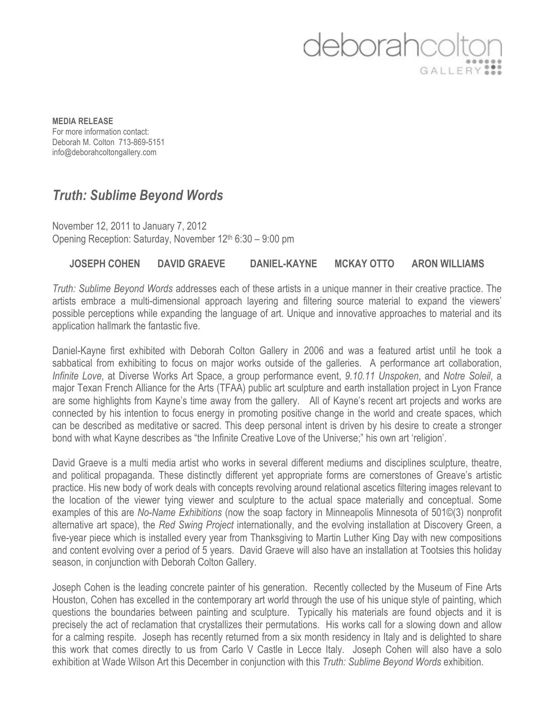## deborahco GALLERY<sup>99</sup>

**MEDIA RELEASE** For more information contact: Deborah M. Colton 713-869-5151 info@deborahcoltongallery.com

## *Truth: Sublime Beyond Words*

November 12, 2011 to January 7, 2012 Opening Reception: Saturday, November 12<sup>th</sup> 6:30 – 9:00 pm

## **JOSEPH COHEN DAVID GRAEVE DANIEL-KAYNE MCKAY OTTO ARON WILLIAMS**

*Truth: Sublime Beyond Words* addresses each of these artists in a unique manner in their creative practice. The artists embrace a multi-dimensional approach layering and filtering source material to expand the viewers' possible perceptions while expanding the language of art. Unique and innovative approaches to material and its application hallmark the fantastic five.

Daniel-Kayne first exhibited with Deborah Colton Gallery in 2006 and was a featured artist until he took a sabbatical from exhibiting to focus on major works outside of the galleries. A performance art collaboration, *Infinite Love*, at Diverse Works Art Space, a group performance event, *9.10.11 Unspoken*, and *Notre Soleil*, a major Texan French Alliance for the Arts (TFAA) public art sculpture and earth installation project in Lyon France are some highlights from Kayne's time away from the gallery. All of Kayne's recent art projects and works are connected by his intention to focus energy in promoting positive change in the world and create spaces, which can be described as meditative or sacred. This deep personal intent is driven by his desire to create a stronger bond with what Kayne describes as "the Infinite Creative Love of the Universe;" his own art 'religion'.

David Graeve is a multi media artist who works in several different mediums and disciplines sculpture, theatre, and political propaganda. These distinctly different yet appropriate forms are cornerstones of Greave's artistic practice. His new body of work deals with concepts revolving around relational ascetics filtering images relevant to the location of the viewer tying viewer and sculpture to the actual space materially and conceptual. Some examples of this are *No-Name Exhibitions* (now the soap factory in Minneapolis Minnesota of 501©(3) nonprofit alternative art space), the *Red Swing Project* internationally, and the evolving installation at Discovery Green, a five-year piece which is installed every year from Thanksgiving to Martin Luther King Day with new compositions and content evolving over a period of 5 years. David Graeve will also have an installation at Tootsies this holiday season, in conjunction with Deborah Colton Gallery.

Joseph Cohen is the leading concrete painter of his generation. Recently collected by the Museum of Fine Arts Houston, Cohen has excelled in the contemporary art world through the use of his unique style of painting, which questions the boundaries between painting and sculpture. Typically his materials are found objects and it is precisely the act of reclamation that crystallizes their permutations. His works call for a slowing down and allow for a calming respite. Joseph has recently returned from a six month residency in Italy and is delighted to share this work that comes directly to us from Carlo V Castle in Lecce Italy. Joseph Cohen will also have a solo exhibition at Wade Wilson Art this December in conjunction with this *Truth: Sublime Beyond Words* exhibition.